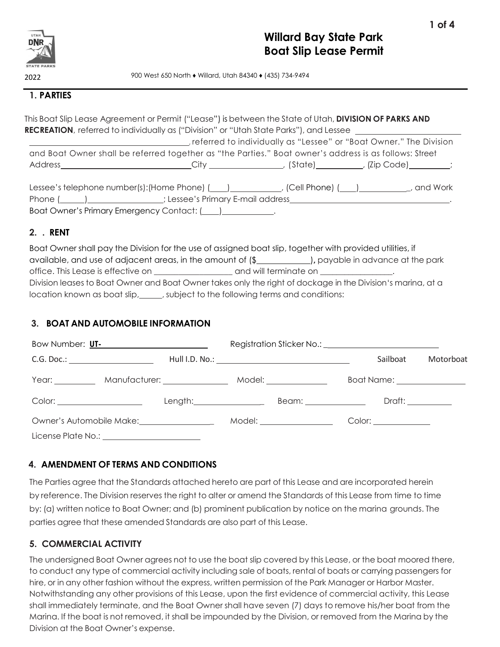

900 West 650 North ♦ Willard, Utah 84340 ♦ (435) 734-9494

### **1. PARTIES**

This Boat Slip Lease Agreement or Permit ("Lease") is between the State of Utah, **DIVISION OF PARKS AND RECREATION**, referred to individually as ("Division" or "Utah State Parks"), and Lessee , referred to individually as "Lessee" or "Boat Owner." The Division and Boat Owner shall be referred together as "the Parties." Boat owner's address is as follows: Street Address City , (State) , (Zip Code) ;

| Lessee's telephone number(s): (Home Phone) (<br>(Cell Phone) ( | and Work |
|----------------------------------------------------------------|----------|
| Phone (<br>; Lessee's Primary E-mail address                   |          |
| Boat Owner's Primary Emergency Contact: (                      |          |

## **2. . RENT**

Boat Owner shall pay the Division for the use of assigned boat slip, together with provided utilities, if available, and use of adjacent areas, in the amount of (\$ )**,** payable in advance at the park office. This Lease is effective on \_\_\_\_\_\_\_\_\_\_\_\_\_\_\_\_\_\_\_\_\_\_\_\_ and will terminate on \_\_\_\_ Division leases to Boat Owner and Boat Owner takes only the right of dockage in the Division's marina, at a location known as boat slip, subject to the following terms and conditions:

# **3. BOAT AND AUTOMOBILE INFORMATION**

| Bow Number: UT-<br>Sow Number: UT-  |                               |                                                                   |                              |           |
|-------------------------------------|-------------------------------|-------------------------------------------------------------------|------------------------------|-----------|
| C.G. Doc.: ________________________ |                               |                                                                   | Sailboat                     | Motorboat |
|                                     |                               | Year: __________ Manufacturer: ____________ Model: ______________ | Boat Name: _________________ |           |
|                                     |                               | Length:__________________                                         |                              |           |
|                                     | Owner's Automobile Make: 2000 | Model: _________________                                          | Color: ______________        |           |
|                                     |                               |                                                                   |                              |           |

# **4. AMENDMENT OF TERMS AND CONDITIONS**

The Parties agree that the Standards attached hereto are part of this Lease and are incorporated herein by reference. The Division reserves the right to alter or amend the Standards of this Lease from time to time by: (a) written notice to Boat Owner; and (b) prominent publication by notice on the marina grounds. The parties agree that these amended Standards are also part of this Lease.

# **5. COMMERCIAL ACTIVITY**

The undersigned Boat Owner agrees not to use the boat slip covered by this Lease, or the boat moored there, to conduct any type of commercial activity including sale of boats, rental of boats or carrying passengers for hire, or in any other fashion without the express, written permission of the Park Manager or Harbor Master. Notwithstanding any other provisions of this Lease, upon the first evidence of commercial activity, this Lease shall immediately terminate, and the Boat Owner shall have seven (7) days to remove his/her boat from the Marina. If the boat is not removed, it shall be impounded by the Division, or removed from the Marina by the Division at the Boat Owner's expense.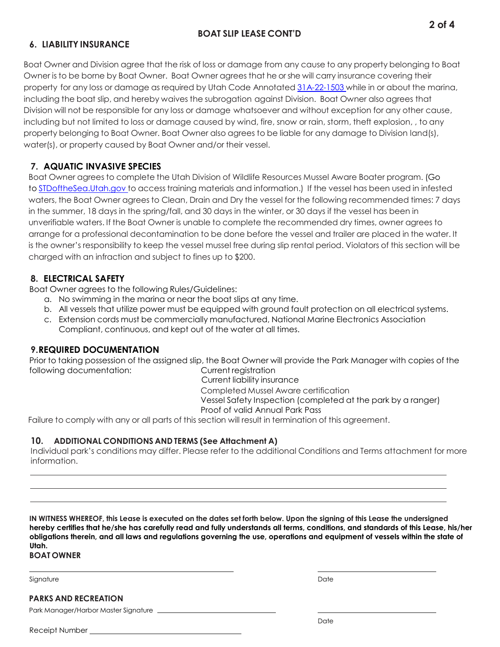### **BOAT SLIP LEASE CONT'D**

## **6. LIABILITY INSURANCE**

Boat Owner and Division agree that the risk of loss or damage from any cause to any property belonging to Boat Owner is to be borne by Boat Owner. Boat Owner agrees that he or she will carry insurance covering their property for any loss or damage as required by Utah Code Annotated [31A-22-1503](https://le.utah.gov/xcode/Title31A/Chapter22/31A-22-S1503.html?v=C31A-22-S1503_1800010118000101&31A-22-1503(2)) while in or about the marina, including the boat slip, and hereby waives the subrogation against Division. Boat Owner also agrees that Division will not be responsible for any loss or damage whatsoever and without exception for any other cause, including but not limited to loss or damage caused by wind, fire, snow or rain, storm, theft explosion, , to any property belonging to Boat Owner. Boat Owner also agrees to be liable for any damage to Division land(s), water(s), or property caused by Boat Owner and/or their vessel.

# **7. AQUATIC INVASIVE SPECIES**

Boat Owner agrees to complete the Utah Division of Wildlife Resources Mussel Aware Boater program. (Go to [STDoftheSea.Utah.gov](http://stdofthesea.utah.gov/) to access training materials and information.) If the vessel has been used in infested waters, the Boat Owner agrees to Clean, Drain and Dry the vessel for the following recommended times: 7 days in the summer, 18 days in the spring/fall, and 30 days in the winter, or 30 days if the vessel has been in unverifiable waters. If the Boat Owner is unable to complete the recommended dry times, owner agrees to arrange for a professional decontamination to be done before the vessel and trailer are placed in the water. It is the owner's responsibility to keep the vessel mussel free during slip rental period. Violators of this section will be charged with an infraction and subject to fines up to \$200.

## **8. ELECTRICAL SAFETY**

Boat Owner agrees to the following Rules/Guidelines:

- a. No swimming in the marina or near the boat slips at any time.
- b. All vessels that utilize power must be equipped with ground fault protection on all electrical systems.
- c. Extension cords must be commercially manufactured, National Marine Electronics Association Compliant, continuous, and kept out of the water at all times.

### **9.REQUIRED DOCUMENTATION**

Prior to taking possession of the assigned slip, the Boat Owner will provide the Park Manager with copies of the following documentation: Current registration

Current liability insurance Completed Mussel Aware certification Vessel Safety Inspection (completed at the park by a ranger) Proof of valid Annual Park Pass

Failure to comply with any or all parts of this section will result in termination of this agreement.

### **10. ADDITIONAL CONDITIONS AND TERMS (See Attachment A)**

Individual park's conditions may differ. Please refer to the additional Conditions and Terms attachment for more information.

IN WITNESS WHEREOF, this Lease is executed on the dates set forth below. Upon the signing of this Lease the undersigned **hereby certifies that he/she has carefully read and fully understands all terms, conditions, and standards of this Lease, his/her obligations therein, and all laws and regulations governing the use, operations and equipment of vessels within the state of Utah.**

### **BOAT OWNER**

Signature Date Date of the Date of the Date of the Date of the Date of the Date of the Date of the Date of the

**PARKS AND RECREATION**

Park Manager/Harbor Master Signature

Receipt Number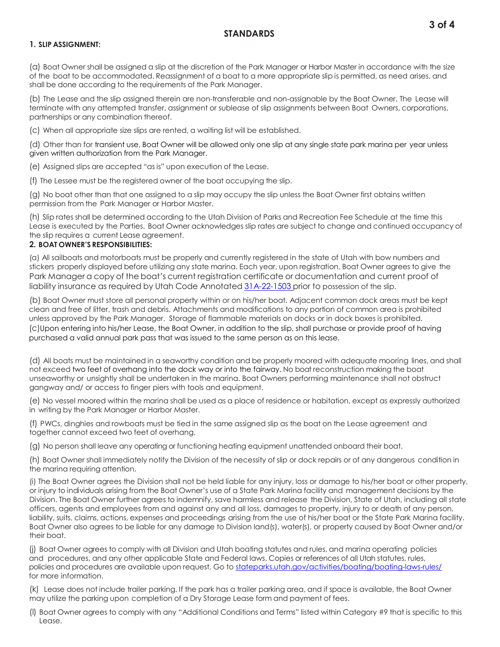### **STANDARDS**

### **1. SLIP ASSIGNMENT:**

(a) Boat Owner shall be assigned a slip at the discretion of the Park Manager or Harbor Master in accordance with the size of the boat to be accommodated. Reassignment of a boat to a more appropriate slip is permitted, as need arises, and shall be done according to the requirements of the Park Manager.

(b) The Lease and the slip assigned therein are non-transferable and non-assignable by the Boat Owner. The Lease will terminate with any attempted transfer, assignment or sublease of slip assignments between Boat Owners, corporations, partnerships or any combination thereof.

(c) When all appropriate size slips are rented, a waiting list will be established.

(d) Other than for transient use, Boat Owner will be allowed only one slip at any single state park marina per year unless given written authorization from the Park Manager.

(e) Assigned slips are accepted "as is" upon execution of the Lease.

(f) The Lessee must be the registered owner of the boat occupying the slip.

(g) No boat other than that one assigned to a slip may occupy the slip unless the Boat Owner first obtains written permission from the Park Manager or Harbor Master.

(h) Slip rates shall be determined according to the Utah Division of Parks and Recreation Fee Schedule at the time this Lease is executed by the Parties. Boat Owner acknowledges slip rates are subject to change and continued occupancy of the slip requires a current Lease agreement.

#### **2. BOAT OWNER'S RESPONSIBILITIES:**

(a) All sailboats and motorboats must be properly and currently registered in the state of Utah with bow numbers and stickers properly displayed before utilizing any state marina. Each year, upon registration, Boat Owner agrees to give the Park Manager a copy of the boat's current registration certificate or documentation and current proof of liability insurance as required by Utah Code Annotated [31A-22-1503](https://le.utah.gov/xcode/Title31A/Chapter22/31A-22-S1503.html?v=C31A-22-S1503_1800010118000101&31A-22-1503(2)) prior to possession of the slip.

(b) Boat Owner must store all personal property within or on his/her boat. Adjacent common dock areas must be kept clean and free of litter, trash and debris. Attachments and modifications to any portion of common area is prohibited unless approved by the Park Manager. Storage of flammable materials on docks or in dock boxes is prohibited. (c)Upon entering into his/her Lease, the Boat Owner, in addition to the slip, shall purchase or provide proof of having purchased a valid annual park pass that was issued to the same person as on this lease.

(d) All boats must be maintained in a seaworthy condition and be properly moored with adequate mooring lines, and shall not exceed two feet of overhang into the dock way or into the fairway. No boat reconstruction making the boat unseaworthy or unsightly shall be undertaken in the marina. Boat Owners performing maintenance shall not obstruct gangway and/ or access to finger piers with tools and equipment.

(e) No vessel moored within the marina shall be used as a place of residence or habitation, except as expressly authorized in writing by the Park Manager or Harbor Master.

(f) PWCs, dinghies and rowboats must be tied in the same assigned slip as the boat on the Lease agreement and together cannot exceed two feet of overhang.

(g) No person shall leave any operating or functioning heating equipment unattended onboard their boat.

(h) Boat Owner shall immediately notify the Division of the necessity of slip or dock repairs or of any dangerous condition in the marina requiring attention.

(i) The Boat Owner agrees the Division shall not be held liable for any injury, loss or damage to his/her boat or other property, or injury to individuals arising from the Boat Owner's use of a State Park Marina facility and management decisions by the Division. The Boat Owner further agrees to indemnify, save harmless and release the Division, State of Utah, including all state officers, agents and employees from and against any and all loss, damages to property, injury to or death of any person, liability, suits, claims, actions, expenses and proceedings arising from the use of his/her boat or the State Park Marina facility. Boat Owner also agrees to be liable for any damage to Division land(s), water(s), or property caused by Boat Owner and/or their boat.

(j) Boat Owner agrees to comply with all Division and Utah boating statutes and rules, and marina operating policies and procedures, and any other applicable State and Federal laws. Copies or references of all Utah statutes, rules, policies and procedures are available upon request. Go to statep[arks.utah.gov/act](https://stateparks.utah.gov/activities/boating/boating-laws-rules/)ivities/boating/boating-laws-rules/ for more information.

(k) Lease does not include trailer parking. If the park has a trailer parking area, and if space is available, the Boat Owner may utilize the parking upon completion of a Dry Storage Lease form and payment of fees.

(l) Boat Owner agrees to comply with any "Additional Conditions and Terms" listed within Category #9 that is specific to this Lease.